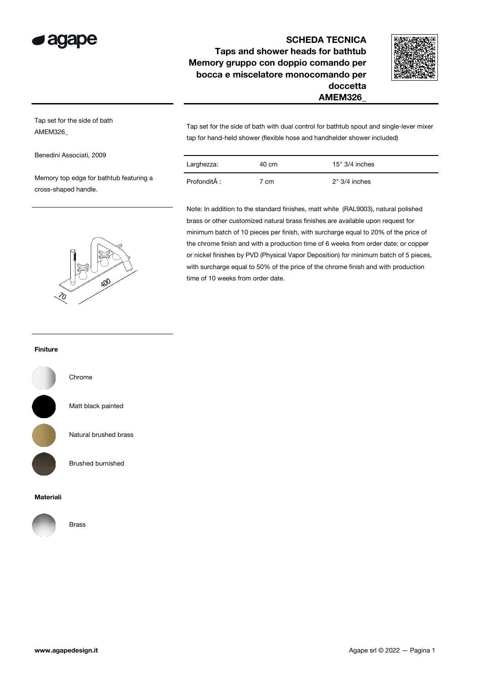

# SCHEDA TECNICA Taps and shower heads for bathtub Memory gruppo con doppio comando per bocca e miscelatore monocomando per doccetta AMEM326\_



Tap set for the side of bath AMEM326\_

Benedini Associati, 2009

Memory top edge for bathtub featuring a cross-shaped handle.



Tap set for the side of bath with dual control for bathtub spout and single-lever mixer tap for hand-held shower (flexible hose and handhelder shower included)

| Larghezza:   | 40 cm | $15" 3/4$ inches |
|--------------|-------|------------------|
| Profondità : | cm    | $2" 3/4$ inches  |

Note: In addition to the standard finishes, matt white (RAL9003), natural polished brass or other customized natural brass finishes are available upon request for minimum batch of 10 pieces per finish, with surcharge equal to 20% of the price of the chrome finish and with a production time of 6 weeks from order date; or copper or nickel finishes by PVD (Physical Vapor Deposition) for minimum batch of 5 pieces, with surcharge equal to 50% of the price of the chrome finish and with production time of 10 weeks from order date.

#### Finiture



Chrome

Matt black painted

Natural brushed brass

Brushed burnished

#### Materiali



Brass